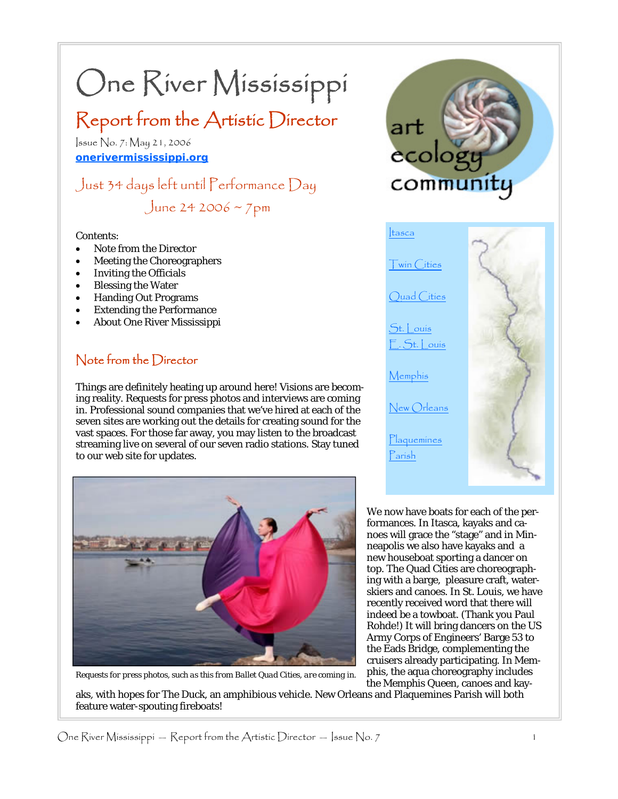# One River Mississippi

## Report from the Artistic Director

Issue No. 7: May 21, 2006 **onerivermississippi.org**

Just 34 days left until Performance Day June 24 2006 ~  $7 \text{pm}$ 

#### Contents:

- Note from the Director
- Meeting the Choreographers
- **Inviting the Officials**
- **Blessing the Water**
- Handing Out Programs
- **Extending the Performance**
- About One River Mississippi

## Note from the Director

Things are definitely heating up around here! Visions are becoming reality. Requests for press photos and interviews are coming in. Professional sound companies that we've hired at each of the seven sites are working out the details for creating sound for the vast spaces. For those far away, you may listen to the broadcast streaming live on several of our seven radio stations. Stay tuned to our web site for updates.



*Requests for press photos, such as this from Ballet Quad Cities, are coming in.* 

feature water-spouting fireboats!



Memphis

New Orleans

**Plaquemines** Parish

We now have boats for each of the performances. In Itasca, kayaks and canoes will grace the "stage" and in Minneapolis we also have kayaks and a new houseboat sporting a dancer on top. The Quad Cities are choreographing with a barge, pleasure craft, waterskiers and canoes. In St. Louis, we have recently received word that there will indeed be a towboat. (Thank you Paul Rohde!) It will bring dancers on the US Army Corps of Engineers' Barge 53 to the Eads Bridge, complementing the cruisers already participating. In Memphis, the aqua choreography includes the Memphis Queen, canoes and kayaks, with hopes for The Duck, an amphibious vehicle. New Orleans and Plaquemines Parish will both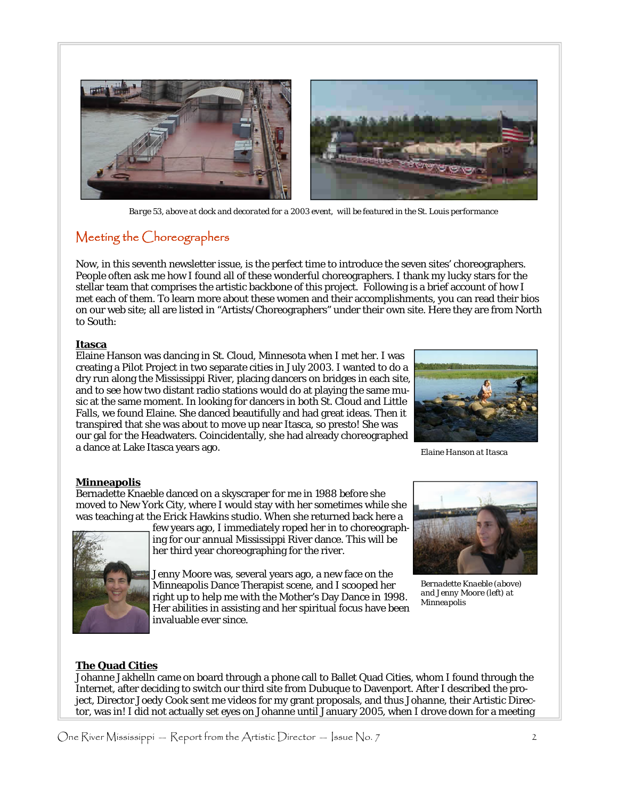

 *Barge 53, above at dock and decorated for a 2003 event, will be featured in the St. Louis performance* 

## Meeting the Choreographers

Now, in this seventh newsletter issue, is the perfect time to introduce the seven sites' choreographers. People often ask me how I found all of these wonderful choreographers. I thank my lucky stars for the stellar team that comprises the artistic backbone of this project. Following is a brief account of how I met each of them. To learn more about these women and their accomplishments, you can read their bios on our web site; all are listed in "Artists/Choreographers" under their own site. Here they are from North to South:

#### **Itasca**

Elaine Hanson was dancing in St. Cloud, Minnesota when I met her. I was creating a Pilot Project in two separate cities in July 2003. I wanted to do a dry run along the Mississippi River, placing dancers on bridges in each site, and to see how two distant radio stations would do at playing the same music at the same moment. In looking for dancers in both St. Cloud and Little Falls, we found Elaine. She danced beautifully and had great ideas. Then it transpired that she was about to move up near Itasca, so presto! She was our gal for the Headwaters. Coincidentally, she had already choreographed a dance at Lake Itasca years ago.



*Elaine Hanson at Itasca* 

#### **Minneapolis**

Bernadette Knaeble danced on a skyscraper for me in 1988 before she moved to New York City, where I would stay with her sometimes while she was teaching at the Erick Hawkins studio. When she returned back here a



few years ago, I immediately roped her in to choreographing for our annual Mississippi River dance. This will be her third year choreographing for the river.

Jenny Moore was, several years ago, a new face on the Minneapolis Dance Therapist scene, and I scooped her right up to help me with the Mother's Day Dance in 1998. Her abilities in assisting and her spiritual focus have been invaluable ever since.



*Bernadette Knaeble (above) and Jenny Moore (left) at Minneapolis* 

#### **The Quad Cities**

Johanne Jakhelln came on board through a phone call to Ballet Quad Cities, whom I found through the Internet, after deciding to switch our third site from Dubuque to Davenport. After I described the project, Director Joedy Cook sent me videos for my grant proposals, and thus Johanne, their Artistic Director, was in! I did not actually set eyes on Johanne until January 2005, when I drove down for a meeting

One River Mississippi — Report from the Artistic Director — Issue No. 7  $\qquad 2$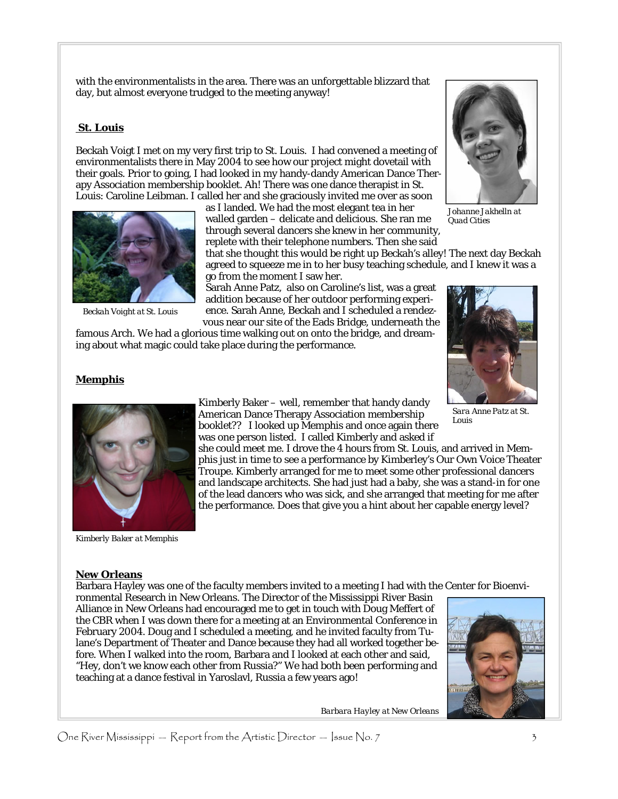with the environmentalists in the area. There was an unforgettable blizzard that day, but almost everyone trudged to the meeting anyway!

#### **St. Louis**

Beckah Voigt I met on my very first trip to St. Louis. I had convened a meeting of environmentalists there in May 2004 to see how our project might dovetail with their goals. Prior to going, I had looked in my handy-dandy American Dance Therapy Association membership booklet. Ah! There was one dance therapist in St. Louis: Caroline Leibman. I called her and she graciously invited me over as soon

> as I landed. We had the most elegant tea in her walled garden – delicate and delicious. She ran me through several dancers she knew in her community, replete with their telephone numbers. Then she said



*Johanne Jakhelln at Quad Cities* 

that she thought this would be right up Beckah's alley! The next day Beckah agreed to squeeze me in to her busy teaching schedule, and I knew it was a

addition because of her outdoor performing experi-

famous Arch. We had a glorious time walking out on onto the bridge, and dream-



#### **Memphis**



*Beckah Voight at St. Louis* 

*Kimberly Baker at Memphis* 

#### **New Orleans**

Barbara Hayley was one of the faculty members invited to a meeting I had with the Center for Bioenvironmental Research in New Orleans. The Director of the Mississippi River Basin

Alliance in New Orleans had encouraged me to get in touch with Doug Meffert of the CBR when I was down there for a meeting at an Environmental Conference in February 2004. Doug and I scheduled a meeting, and he invited faculty from Tulane's Department of Theater and Dance because they had all worked together before. When I walked into the room, Barbara and I looked at each other and said, "Hey, don't we know each other from Russia?" We had both been performing and teaching at a dance festival in Yaroslavl, Russia a few years ago!



*Barbara Hayley at New Orleans* 

go from the moment I saw her. Sarah Anne Patz, also on Caroline's list, was a great

ence. Sarah Anne, Beckah and I scheduled a rendezvous near our site of the Eads Bridge, underneath the

ing about what magic could take place during the performance.

#### booklet?? I looked up Memphis and once again there was one person listed. I called Kimberly and asked if she could meet me. I drove the 4 hours from St. Louis, and arrived in Mem-*Sara Anne Patz at St. Louis*

One River Mississippi — Report from the Artistic Director — Issue No. 7  $\frac{1}{3}$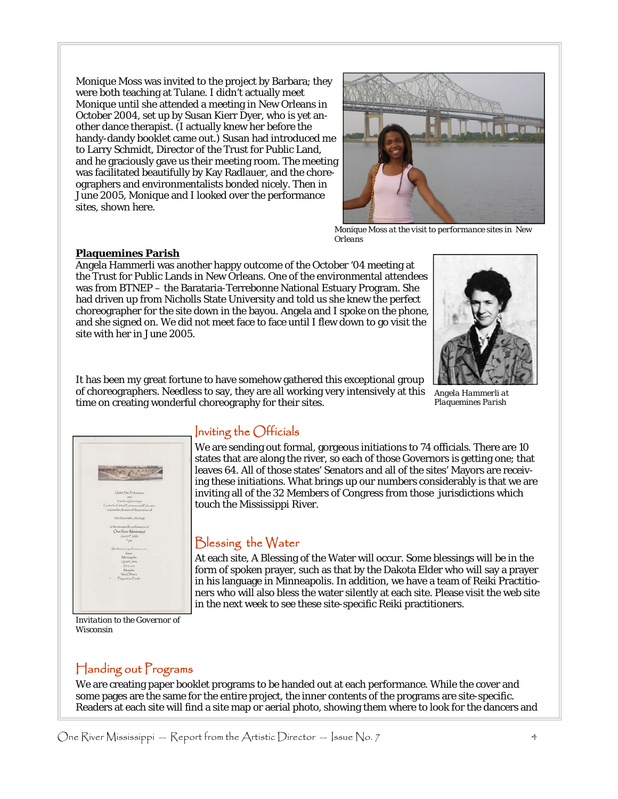Monique Moss was invited to the project by Barbara; they were both teaching at Tulane. I didn't actually meet Monique until she attended a meeting in New Orleans in October 2004, set up by Susan Kierr Dyer, who is yet another dance therapist. (I actually knew her before the handy-dandy booklet came out.) Susan had introduced me to Larry Schmidt, Director of the Trust for Public Land, and he graciously gave us their meeting room. The meeting was facilitated beautifully by Kay Radlauer, and the choreographers and environmentalists bonded nicely. Then in June 2005, Monique and I looked over the performance sites, shown here.



*Monique Moss at the visit to performance sites in New Orleans* 

#### **Plaquemines Parish**

Angela Hammerli was another happy outcome of the October '04 meeting at the Trust for Public Lands in New Orleans. One of the environmental attendees was from BTNEP – the Barataria-Terrebonne National Estuary Program. She had driven up from Nicholls State University and told us she knew the perfect choreographer for the site down in the bayou. Angela and I spoke on the phone, and she signed on. We did not meet face to face until I flew down to go visit the site with her in June 2005.



*Angela Hammerli at Plaquemines Parish* 



## Inviting the Officials

time on creating wonderful choreography for their sites.

It has been my great fortune to have somehow gathered this exceptional group of choreographers. Needless to say, they are all working very intensively at this

> We are sending out formal, gorgeous initiations to 74 officials. There are 10 states that are along the river, so each of those Governors is getting one; that leaves 64. All of those states' Senators and all of the sites' Mayors are receiving these initiations. What brings up our numbers considerably is that we are inviting all of the 32 Members of Congress from those jurisdictions which touch the Mississippi River.

## Blessing the Water

At each site, A Blessing of the Water will occur. Some blessings will be in the form of spoken prayer, such as that by the Dakota Elder who will say a prayer in his language in Minneapolis. In addition, we have a team of Reiki Practitioners who will also bless the water silently at each site. Please visit the web site in the next week to see these site-specific Reiki practitioners.

*Invitation to the Governor of Wisconsin* 

## Handing out Programs

We are creating paper booklet programs to be handed out at each performance. While the cover and some pages are the same for the entire project, the inner contents of the programs are site-specific. Readers at each site will find a site map or aerial photo, showing them where to look for the dancers and

One River Mississippi — Report from the Artistic Director — Issue No. 7 4